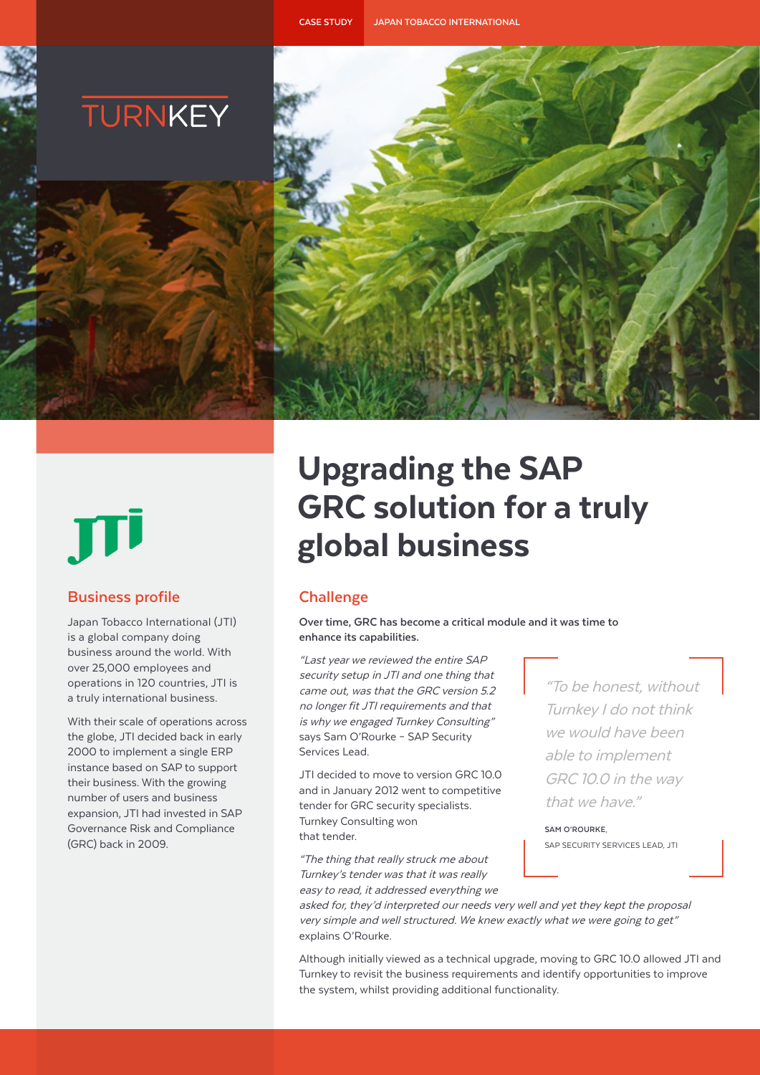



# **Business profile**

Japan Tobacco International (JTI) is a global company doing business around the world. With over 25,000 employees and operations in 120 countries, JTI is a truly international business.

With their scale of operations across the globe, JTI decided back in early 2000 to implement a single ERP instance based on SAP to support their business. With the growing number of users and business expansion, JTI had invested in SAP Governance Risk and Compliance (GRC) back in 2009.

# Upgrading the SAP GRC solution for a truly global business

# **Challenge**

**Over time, GRC has become a critical module and it was time to enhance its capabilities.**

"Last year we reviewed the entire SAP security setup in JTI and one thing that came out, was that the GRC version 5.2 no longer fit JTI requirements and that is why we engaged Turnkey Consulting" says Sam O'Rourke – SAP Security Services Lead.

JTI decided to move to version GRC 10.0 and in January 2012 went to competitive tender for GRC security specialists. Turnkey Consulting won that tender.

"The thing that really struck me about Turnkey's tender was that it was really easy to read, it addressed everything we

"To be honest, without Turnkey I do not think we would have been able to implement GRC 10.0 in the way that we have."

**SAM O'ROURKE**, SAP SECURITY SERVICES LEAD, JTI

asked for, they'd interpreted our needs very well and yet they kept the proposal very simple and well structured. We knew exactly what we were going to get" explains O'Rourke.

Although initially viewed as a technical upgrade, moving to GRC 10.0 allowed JTI and Turnkey to revisit the business requirements and identify opportunities to improve the system, whilst providing additional functionality.